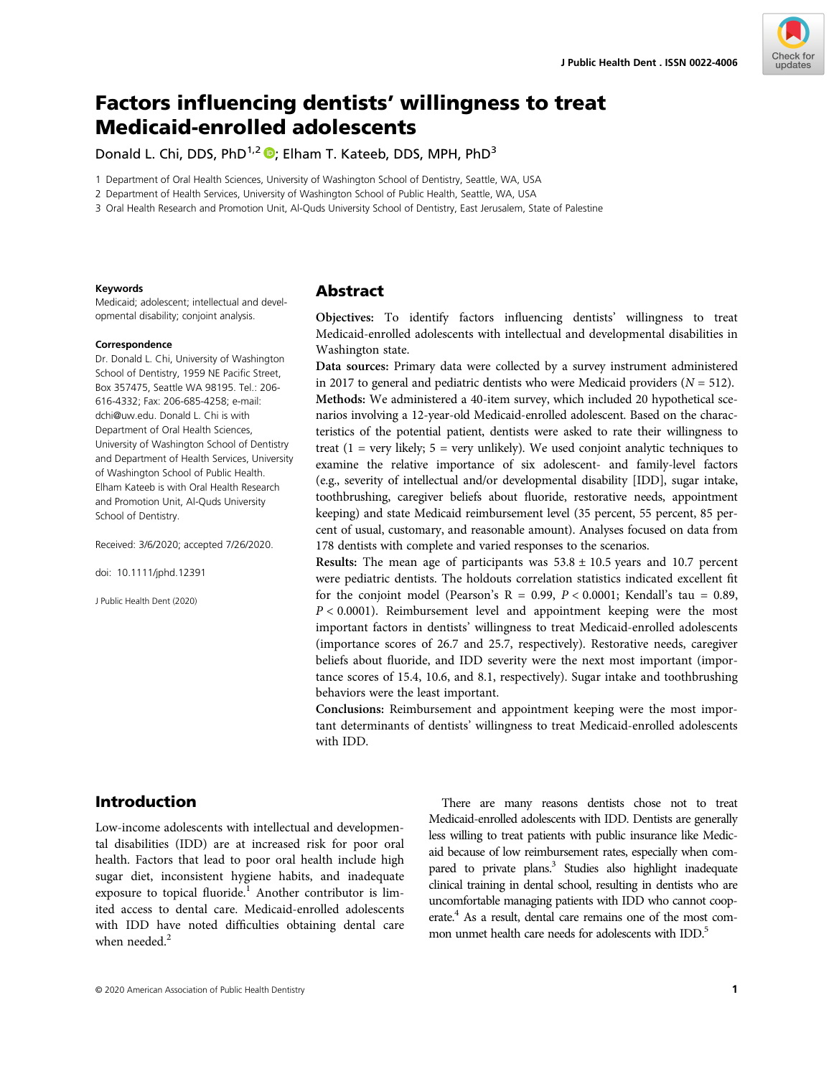

# Factors influencing dentists' willingness to treat Medicaid-enrolled adolescents

Donald L. Chi, DDS, PhD<sup>1,2</sup> <sup>D</sup>; Elham T. Kateeb, DDS, MPH, PhD<sup>3</sup>

1 Department of Oral Health Sciences, University of Washington School of Dentistry, Seattle, WA, USA

2 Department of Health Services, University of Washington School of Public Health, Seattle, WA, USA

3 Oral Health Research and Promotion Unit, Al-Quds University School of Dentistry, East Jerusalem, State of Palestine

#### Keywords

Medicaid; adolescent; intellectual and developmental disability; conjoint analysis.

#### Correspondence

Dr. Donald L. Chi, University of Washington School of Dentistry, 1959 NE Pacific Street, Box 357475, Seattle WA 98195. Tel.: 206- 616-4332; Fax: 206-685-4258; e-mail: [dchi@uw.edu](mailto:dchi@uw.edu). Donald L. Chi is with Department of Oral Health Sciences, University of Washington School of Dentistry and Department of Health Services, University of Washington School of Public Health. Elham Kateeb is with Oral Health Research and Promotion Unit, Al-Quds University School of Dentistry.

Received: 3/6/2020; accepted 7/26/2020.

doi: 10.1111/jphd.12391

J Public Health Dent (2020)

# Abstract

Objectives: To identify factors influencing dentists' willingness to treat Medicaid-enrolled adolescents with intellectual and developmental disabilities in Washington state.

Data sources: Primary data were collected by a survey instrument administered in 2017 to general and pediatric dentists who were Medicaid providers  $(N = 512)$ . Methods: We administered a 40-item survey, which included 20 hypothetical scenarios involving a 12-year-old Medicaid-enrolled adolescent. Based on the characteristics of the potential patient, dentists were asked to rate their willingness to treat  $(1 = \text{very likely}; 5 = \text{very unlikely})$ . We used conjoint analytic techniques to examine the relative importance of six adolescent- and family-level factors (e.g., severity of intellectual and/or developmental disability [IDD], sugar intake, toothbrushing, caregiver beliefs about fluoride, restorative needs, appointment keeping) and state Medicaid reimbursement level (35 percent, 55 percent, 85 percent of usual, customary, and reasonable amount). Analyses focused on data from 178 dentists with complete and varied responses to the scenarios.

Results: The mean age of participants was  $53.8 \pm 10.5$  years and 10.7 percent were pediatric dentists. The holdouts correlation statistics indicated excellent fit for the conjoint model (Pearson's  $R = 0.99$ ,  $P < 0.0001$ ; Kendall's tau = 0.89,  $P < 0.0001$ ). Reimbursement level and appointment keeping were the most important factors in dentists' willingness to treat Medicaid-enrolled adolescents (importance scores of 26.7 and 25.7, respectively). Restorative needs, caregiver beliefs about fluoride, and IDD severity were the next most important (importance scores of 15.4, 10.6, and 8.1, respectively). Sugar intake and toothbrushing behaviors were the least important.

Conclusions: Reimbursement and appointment keeping were the most important determinants of dentists' willingness to treat Medicaid-enrolled adolescents with IDD.

# Introduction

Low-income adolescents with intellectual and developmental disabilities (IDD) are at increased risk for poor oral health. Factors that lead to poor oral health include high sugar diet, inconsistent hygiene habits, and inadequate exposure to topical fluoride.<sup>1</sup> Another contributor is limited access to dental care. Medicaid-enrolled adolescents with IDD have noted difficulties obtaining dental care when needed  $2$ 

There are many reasons dentists chose not to treat Medicaid-enrolled adolescents with IDD. Dentists are generally less willing to treat patients with public insurance like Medicaid because of low reimbursement rates, especially when compared to private plans.<sup>3</sup> Studies also highlight inadequate clinical training in dental school, resulting in dentists who are uncomfortable managing patients with IDD who cannot cooperate.<sup>4</sup> As a result, dental care remains one of the most common unmet health care needs for adolescents with IDD.<sup>5</sup>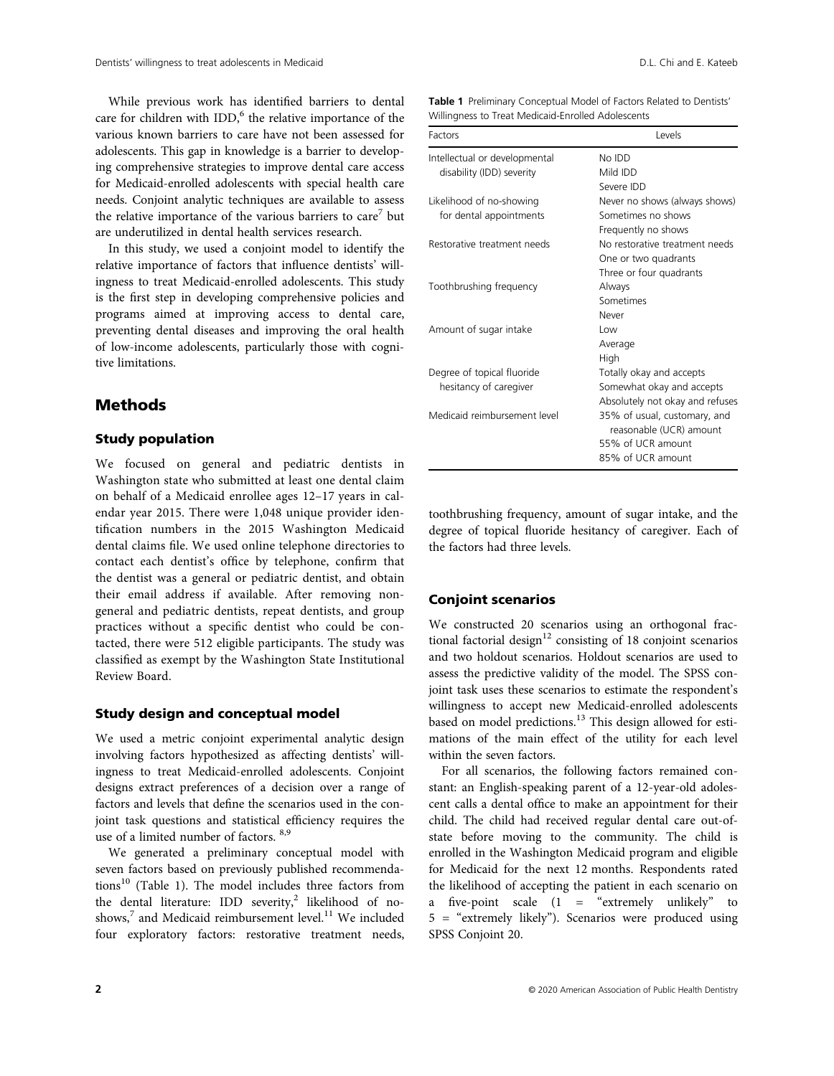While previous work has identified barriers to dental care for children with IDD, $<sup>6</sup>$  the relative importance of the</sup> various known barriers to care have not been assessed for adolescents. This gap in knowledge is a barrier to developing comprehensive strategies to improve dental care access for Medicaid-enrolled adolescents with special health care needs. Conjoint analytic techniques are available to assess the relative importance of the various barriers to care<sup>7</sup> but are underutilized in dental health services research.

In this study, we used a conjoint model to identify the relative importance of factors that influence dentists' willingness to treat Medicaid-enrolled adolescents. This study is the first step in developing comprehensive policies and programs aimed at improving access to dental care, preventing dental diseases and improving the oral health of low-income adolescents, particularly those with cognitive limitations.

# Methods

# Study population

We focused on general and pediatric dentists in Washington state who submitted at least one dental claim on behalf of a Medicaid enrollee ages 12–17 years in calendar year 2015. There were 1,048 unique provider identification numbers in the 2015 Washington Medicaid dental claims file. We used online telephone directories to contact each dentist's office by telephone, confirm that the dentist was a general or pediatric dentist, and obtain their email address if available. After removing nongeneral and pediatric dentists, repeat dentists, and group practices without a specific dentist who could be contacted, there were 512 eligible participants. The study was classified as exempt by the Washington State Institutional Review Board.

#### Study design and conceptual model

We used a metric conjoint experimental analytic design involving factors hypothesized as affecting dentists' willingness to treat Medicaid-enrolled adolescents. Conjoint designs extract preferences of a decision over a range of factors and levels that define the scenarios used in the conjoint task questions and statistical efficiency requires the use of a limited number of factors. 8,9

We generated a preliminary conceptual model with seven factors based on previously published recommendations<sup>10</sup> (Table 1). The model includes three factors from the dental literature: IDD severity,<sup>2</sup> likelihood of noshows, $^7$  and Medicaid reimbursement level.<sup>11</sup> We included four exploratory factors: restorative treatment needs,

| Table 1 Preliminary Conceptual Model of Factors Related to Dentists' |
|----------------------------------------------------------------------|
| Willingness to Treat Medicaid-Enrolled Adolescents                   |

| Factors                       | Levels                          |
|-------------------------------|---------------------------------|
| Intellectual or developmental | No IDD                          |
| disability (IDD) severity     | Mild IDD                        |
|                               | Severe IDD                      |
| Likelihood of no-showing      | Never no shows (always shows)   |
| for dental appointments       | Sometimes no shows              |
|                               | Frequently no shows             |
| Restorative treatment needs   | No restorative treatment needs  |
|                               | One or two quadrants            |
|                               | Three or four quadrants         |
| Toothbrushing frequency       | Always                          |
|                               | Sometimes                       |
|                               | Never                           |
| Amount of sugar intake        | Low                             |
|                               | Average                         |
|                               | High                            |
| Degree of topical fluoride    | Totally okay and accepts        |
| hesitancy of caregiver        | Somewhat okay and accepts       |
|                               | Absolutely not okay and refuses |
| Medicaid reimbursement level  | 35% of usual, customary, and    |
|                               | reasonable (UCR) amount         |
|                               | 55% of UCR amount               |
|                               | 85% of UCR amount               |

toothbrushing frequency, amount of sugar intake, and the degree of topical fluoride hesitancy of caregiver. Each of the factors had three levels.

#### Conjoint scenarios

We constructed 20 scenarios using an orthogonal fractional factorial design<sup>12</sup> consisting of 18 conjoint scenarios and two holdout scenarios. Holdout scenarios are used to assess the predictive validity of the model. The SPSS conjoint task uses these scenarios to estimate the respondent's willingness to accept new Medicaid-enrolled adolescents based on model predictions.<sup>13</sup> This design allowed for estimations of the main effect of the utility for each level within the seven factors.

For all scenarios, the following factors remained constant: an English-speaking parent of a 12-year-old adolescent calls a dental office to make an appointment for their child. The child had received regular dental care out-ofstate before moving to the community. The child is enrolled in the Washington Medicaid program and eligible for Medicaid for the next 12 months. Respondents rated the likelihood of accepting the patient in each scenario on a five-point scale  $(1 =$  "extremely unlikely" to 5 = "extremely likely"). Scenarios were produced using SPSS Conjoint 20.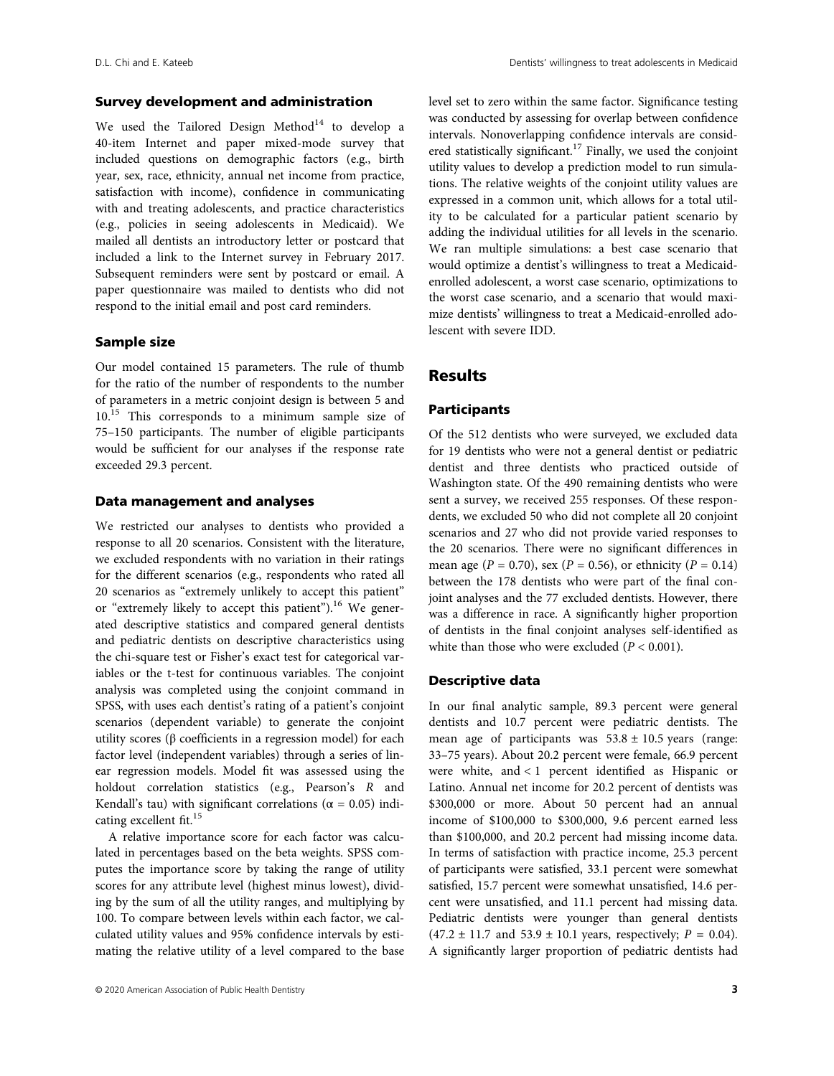# Survey development and administration

We used the Tailored Design Method $^{14}$  to develop a 40-item Internet and paper mixed-mode survey that included questions on demographic factors (e.g., birth year, sex, race, ethnicity, annual net income from practice, satisfaction with income), confidence in communicating with and treating adolescents, and practice characteristics (e.g., policies in seeing adolescents in Medicaid). We mailed all dentists an introductory letter or postcard that included a link to the Internet survey in February 2017. Subsequent reminders were sent by postcard or email. A paper questionnaire was mailed to dentists who did not respond to the initial email and post card reminders.

#### Sample size

Our model contained 15 parameters. The rule of thumb for the ratio of the number of respondents to the number of parameters in a metric conjoint design is between 5 and 10.15 This corresponds to a minimum sample size of 75–150 participants. The number of eligible participants would be sufficient for our analyses if the response rate exceeded 29.3 percent.

#### Data management and analyses

We restricted our analyses to dentists who provided a response to all 20 scenarios. Consistent with the literature, we excluded respondents with no variation in their ratings for the different scenarios (e.g., respondents who rated all 20 scenarios as "extremely unlikely to accept this patient" or "extremely likely to accept this patient").<sup>16</sup> We generated descriptive statistics and compared general dentists and pediatric dentists on descriptive characteristics using the chi-square test or Fisher's exact test for categorical variables or the t-test for continuous variables. The conjoint analysis was completed using the conjoint command in SPSS, with uses each dentist's rating of a patient's conjoint scenarios (dependent variable) to generate the conjoint utility scores (β coefficients in a regression model) for each factor level (independent variables) through a series of linear regression models. Model fit was assessed using the holdout correlation statistics (e.g., Pearson's R and Kendall's tau) with significant correlations ( $\alpha = 0.05$ ) indicating excellent fit.<sup>15</sup>

A relative importance score for each factor was calculated in percentages based on the beta weights. SPSS computes the importance score by taking the range of utility scores for any attribute level (highest minus lowest), dividing by the sum of all the utility ranges, and multiplying by 100. To compare between levels within each factor, we calculated utility values and 95% confidence intervals by estimating the relative utility of a level compared to the base level set to zero within the same factor. Significance testing was conducted by assessing for overlap between confidence intervals. Nonoverlapping confidence intervals are considered statistically significant.<sup>17</sup> Finally, we used the conjoint utility values to develop a prediction model to run simulations. The relative weights of the conjoint utility values are expressed in a common unit, which allows for a total utility to be calculated for a particular patient scenario by adding the individual utilities for all levels in the scenario. We ran multiple simulations: a best case scenario that would optimize a dentist's willingness to treat a Medicaidenrolled adolescent, a worst case scenario, optimizations to the worst case scenario, and a scenario that would maximize dentists' willingness to treat a Medicaid-enrolled adolescent with severe IDD.

# **Results**

# Participants

Of the 512 dentists who were surveyed, we excluded data for 19 dentists who were not a general dentist or pediatric dentist and three dentists who practiced outside of Washington state. Of the 490 remaining dentists who were sent a survey, we received 255 responses. Of these respondents, we excluded 50 who did not complete all 20 conjoint scenarios and 27 who did not provide varied responses to the 20 scenarios. There were no significant differences in mean age ( $P = 0.70$ ), sex ( $P = 0.56$ ), or ethnicity ( $P = 0.14$ ) between the 178 dentists who were part of the final conjoint analyses and the 77 excluded dentists. However, there was a difference in race. A significantly higher proportion of dentists in the final conjoint analyses self-identified as white than those who were excluded ( $P < 0.001$ ).

# Descriptive data

In our final analytic sample, 89.3 percent were general dentists and 10.7 percent were pediatric dentists. The mean age of participants was  $53.8 \pm 10.5$  years (range: 33–75 years). About 20.2 percent were female, 66.9 percent were white, and < 1 percent identified as Hispanic or Latino. Annual net income for 20.2 percent of dentists was \$300,000 or more. About 50 percent had an annual income of \$100,000 to \$300,000, 9.6 percent earned less than \$100,000, and 20.2 percent had missing income data. In terms of satisfaction with practice income, 25.3 percent of participants were satisfied, 33.1 percent were somewhat satisfied, 15.7 percent were somewhat unsatisfied, 14.6 percent were unsatisfied, and 11.1 percent had missing data. Pediatric dentists were younger than general dentists  $(47.2 \pm 11.7 \text{ and } 53.9 \pm 10.1 \text{ years}, \text{ respectively}; P = 0.04).$ A significantly larger proportion of pediatric dentists had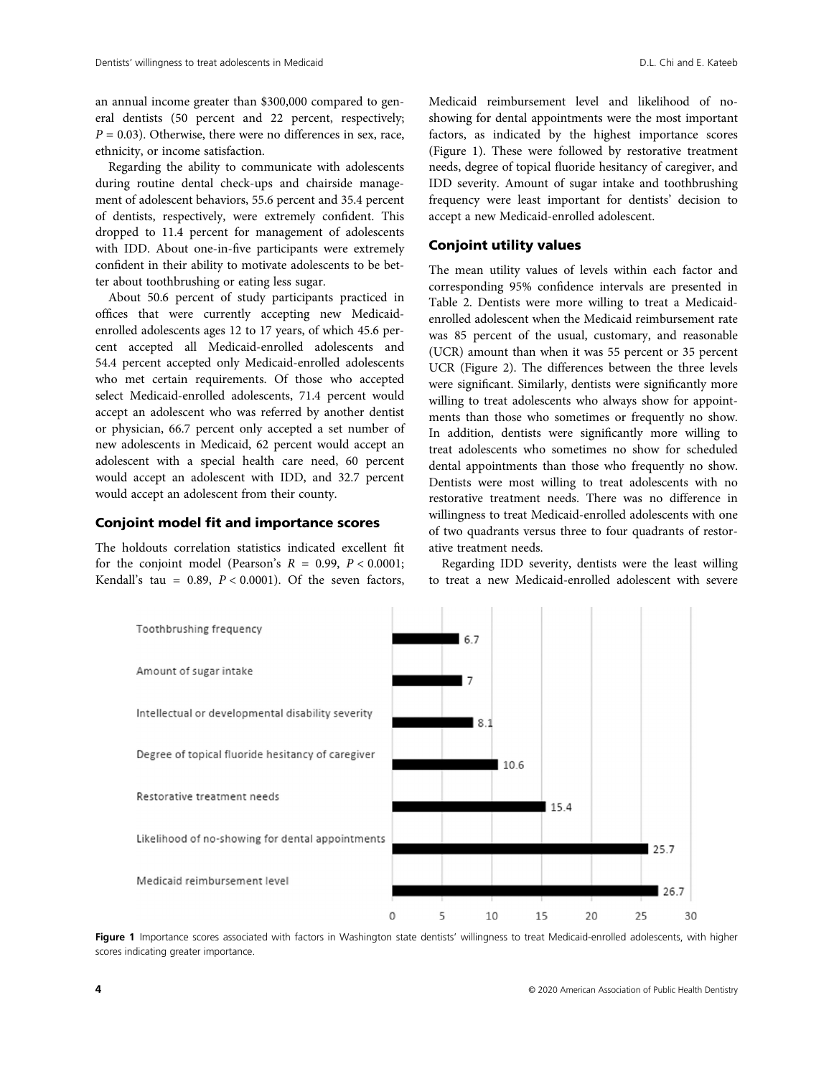an annual income greater than \$300,000 compared to general dentists (50 percent and 22 percent, respectively;  $P = 0.03$ ). Otherwise, there were no differences in sex, race, ethnicity, or income satisfaction.

Regarding the ability to communicate with adolescents during routine dental check-ups and chairside management of adolescent behaviors, 55.6 percent and 35.4 percent of dentists, respectively, were extremely confident. This dropped to 11.4 percent for management of adolescents with IDD. About one-in-five participants were extremely confident in their ability to motivate adolescents to be better about toothbrushing or eating less sugar.

About 50.6 percent of study participants practiced in offices that were currently accepting new Medicaidenrolled adolescents ages 12 to 17 years, of which 45.6 percent accepted all Medicaid-enrolled adolescents and 54.4 percent accepted only Medicaid-enrolled adolescents who met certain requirements. Of those who accepted select Medicaid-enrolled adolescents, 71.4 percent would accept an adolescent who was referred by another dentist or physician, 66.7 percent only accepted a set number of new adolescents in Medicaid, 62 percent would accept an adolescent with a special health care need, 60 percent would accept an adolescent with IDD, and 32.7 percent would accept an adolescent from their county.

## Conjoint model fit and importance scores

The holdouts correlation statistics indicated excellent fit for the conjoint model (Pearson's  $R = 0.99$ ,  $P < 0.0001$ ; Kendall's tau =  $0.89$ ,  $P < 0.0001$ ). Of the seven factors, Medicaid reimbursement level and likelihood of noshowing for dental appointments were the most important factors, as indicated by the highest importance scores (Figure 1). These were followed by restorative treatment needs, degree of topical fluoride hesitancy of caregiver, and IDD severity. Amount of sugar intake and toothbrushing frequency were least important for dentists' decision to accept a new Medicaid-enrolled adolescent.

# Conjoint utility values

The mean utility values of levels within each factor and corresponding 95% confidence intervals are presented in Table 2. Dentists were more willing to treat a Medicaidenrolled adolescent when the Medicaid reimbursement rate was 85 percent of the usual, customary, and reasonable (UCR) amount than when it was 55 percent or 35 percent UCR (Figure 2). The differences between the three levels were significant. Similarly, dentists were significantly more willing to treat adolescents who always show for appointments than those who sometimes or frequently no show. In addition, dentists were significantly more willing to treat adolescents who sometimes no show for scheduled dental appointments than those who frequently no show. Dentists were most willing to treat adolescents with no restorative treatment needs. There was no difference in willingness to treat Medicaid-enrolled adolescents with one of two quadrants versus three to four quadrants of restorative treatment needs.

Regarding IDD severity, dentists were the least willing to treat a new Medicaid-enrolled adolescent with severe



Figure 1 Importance scores associated with factors in Washington state dentists' willingness to treat Medicaid-enrolled adolescents, with higher scores indicating greater importance.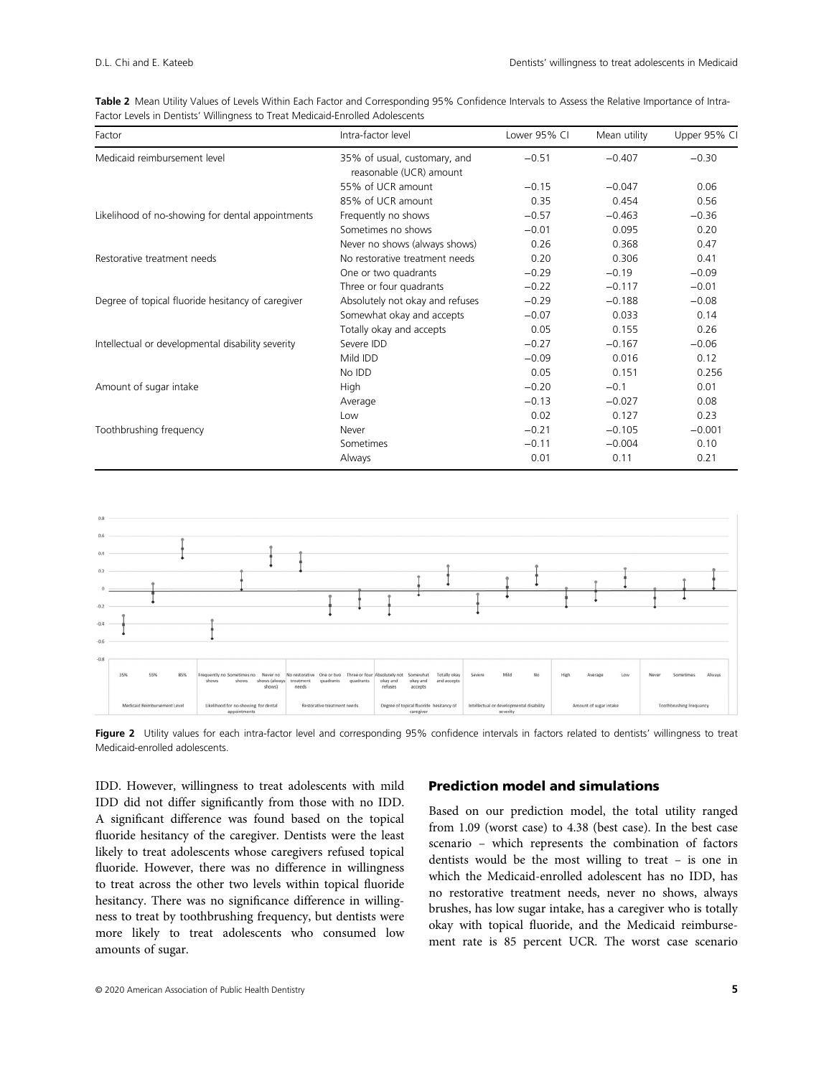|  | Table 2 Mean Utility Values of Levels Within Each Factor and Corresponding 95% Confidence Intervals to Assess the Relative Importance of Intra- |  |  |  |  |  |
|--|-------------------------------------------------------------------------------------------------------------------------------------------------|--|--|--|--|--|
|  | Factor Levels in Dentists' Willingness to Treat Medicaid-Enrolled Adolescents                                                                   |  |  |  |  |  |

| Factor                                            | Intra-factor level                                      | Lower 95% CI | Mean utility | Upper 95% CI |
|---------------------------------------------------|---------------------------------------------------------|--------------|--------------|--------------|
| Medicaid reimbursement level                      | 35% of usual, customary, and<br>reasonable (UCR) amount | $-0.51$      | $-0.407$     | $-0.30$      |
|                                                   | 55% of UCR amount                                       | $-0.15$      | $-0.047$     | 0.06         |
|                                                   | 85% of UCR amount                                       | 0.35         | 0.454        | 0.56         |
| Likelihood of no-showing for dental appointments  | Frequently no shows                                     | $-0.57$      | $-0.463$     | $-0.36$      |
|                                                   | Sometimes no shows                                      | $-0.01$      | 0.095        | 0.20         |
|                                                   | Never no shows (always shows)                           | 0.26         | 0.368        | 0.47         |
| Restorative treatment needs                       | No restorative treatment needs                          | 0.20         | 0.306        | 0.41         |
|                                                   | One or two quadrants                                    | $-0.29$      | $-0.19$      | $-0.09$      |
|                                                   | Three or four quadrants                                 | $-0.22$      | $-0.117$     | $-0.01$      |
| Degree of topical fluoride hesitancy of caregiver | Absolutely not okay and refuses                         | $-0.29$      | $-0.188$     | $-0.08$      |
|                                                   | Somewhat okay and accepts                               | $-0.07$      | 0.033        | 0.14         |
|                                                   | Totally okay and accepts                                | 0.05         | 0.155        | 0.26         |
| Intellectual or developmental disability severity | Severe IDD                                              | $-0.27$      | $-0.167$     | $-0.06$      |
|                                                   | Mild IDD                                                | $-0.09$      | 0.016        | 0.12         |
|                                                   | No IDD                                                  | 0.05         | 0.151        | 0.256        |
| Amount of sugar intake                            | High                                                    | $-0.20$      | $-0.1$       | 0.01         |
|                                                   | Average                                                 | $-0.13$      | $-0.027$     | 0.08         |
|                                                   | Low                                                     | 0.02         | 0.127        | 0.23         |
| Toothbrushing frequency                           | Never                                                   | $-0.21$      | $-0.105$     | $-0.001$     |
|                                                   | Sometimes                                               | $-0.11$      | $-0.004$     | 0.10         |
|                                                   | Always                                                  | 0.01         | 0.11         | 0.21         |



Figure 2 Utility values for each intra-factor level and corresponding 95% confidence intervals in factors related to dentists' willingness to treat Medicaid-enrolled adolescents.

IDD. However, willingness to treat adolescents with mild IDD did not differ significantly from those with no IDD. A significant difference was found based on the topical fluoride hesitancy of the caregiver. Dentists were the least likely to treat adolescents whose caregivers refused topical fluoride. However, there was no difference in willingness to treat across the other two levels within topical fluoride hesitancy. There was no significance difference in willingness to treat by toothbrushing frequency, but dentists were more likely to treat adolescents who consumed low amounts of sugar.

# Prediction model and simulations

Based on our prediction model, the total utility ranged from 1.09 (worst case) to 4.38 (best case). In the best case scenario – which represents the combination of factors dentists would be the most willing to treat – is one in which the Medicaid-enrolled adolescent has no IDD, has no restorative treatment needs, never no shows, always brushes, has low sugar intake, has a caregiver who is totally okay with topical fluoride, and the Medicaid reimbursement rate is 85 percent UCR. The worst case scenario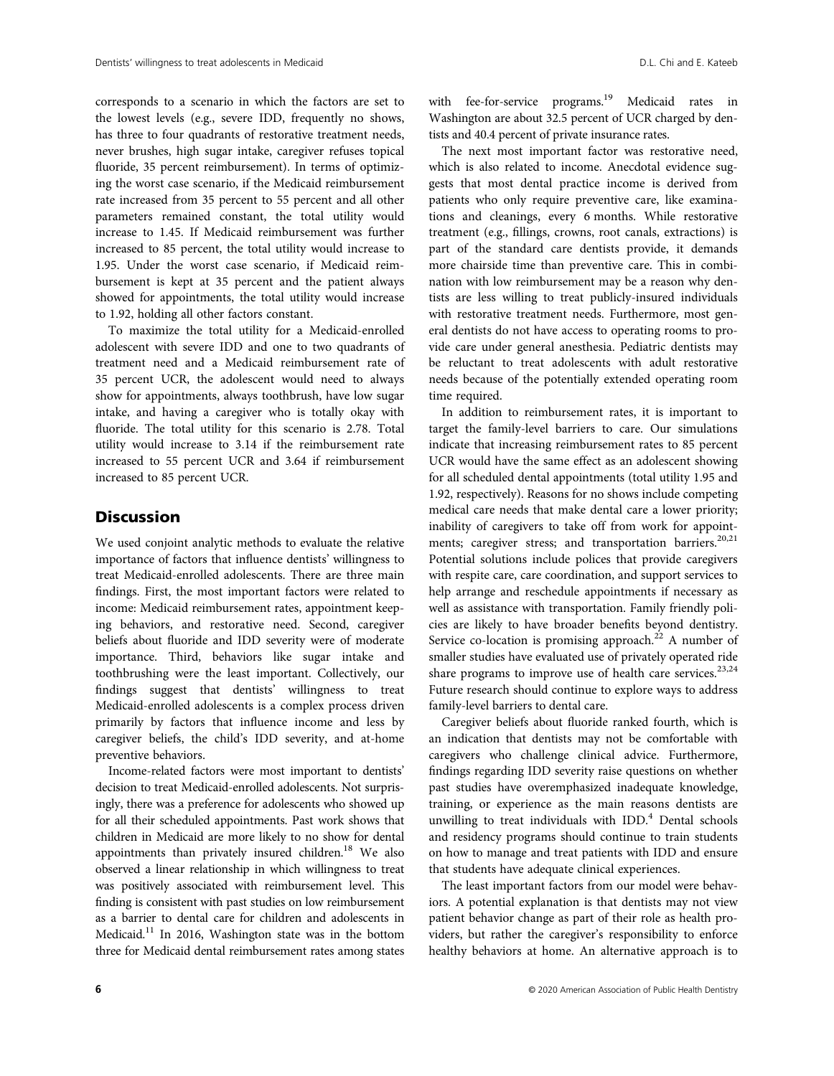corresponds to a scenario in which the factors are set to the lowest levels (e.g., severe IDD, frequently no shows, has three to four quadrants of restorative treatment needs, never brushes, high sugar intake, caregiver refuses topical fluoride, 35 percent reimbursement). In terms of optimizing the worst case scenario, if the Medicaid reimbursement rate increased from 35 percent to 55 percent and all other parameters remained constant, the total utility would increase to 1.45. If Medicaid reimbursement was further increased to 85 percent, the total utility would increase to 1.95. Under the worst case scenario, if Medicaid reimbursement is kept at 35 percent and the patient always showed for appointments, the total utility would increase to 1.92, holding all other factors constant.

To maximize the total utility for a Medicaid-enrolled adolescent with severe IDD and one to two quadrants of treatment need and a Medicaid reimbursement rate of 35 percent UCR, the adolescent would need to always show for appointments, always toothbrush, have low sugar intake, and having a caregiver who is totally okay with fluoride. The total utility for this scenario is 2.78. Total utility would increase to 3.14 if the reimbursement rate increased to 55 percent UCR and 3.64 if reimbursement increased to 85 percent UCR.

# **Discussion**

We used conjoint analytic methods to evaluate the relative importance of factors that influence dentists' willingness to treat Medicaid-enrolled adolescents. There are three main findings. First, the most important factors were related to income: Medicaid reimbursement rates, appointment keeping behaviors, and restorative need. Second, caregiver beliefs about fluoride and IDD severity were of moderate importance. Third, behaviors like sugar intake and toothbrushing were the least important. Collectively, our findings suggest that dentists' willingness to treat Medicaid-enrolled adolescents is a complex process driven primarily by factors that influence income and less by caregiver beliefs, the child's IDD severity, and at-home preventive behaviors.

Income-related factors were most important to dentists' decision to treat Medicaid-enrolled adolescents. Not surprisingly, there was a preference for adolescents who showed up for all their scheduled appointments. Past work shows that children in Medicaid are more likely to no show for dental appointments than privately insured children.<sup>18</sup> We also observed a linear relationship in which willingness to treat was positively associated with reimbursement level. This finding is consistent with past studies on low reimbursement as a barrier to dental care for children and adolescents in Medicaid.<sup>11</sup> In 2016, Washington state was in the bottom three for Medicaid dental reimbursement rates among states with fee-for-service programs.<sup>19</sup> Medicaid rates in Washington are about 32.5 percent of UCR charged by dentists and 40.4 percent of private insurance rates.

The next most important factor was restorative need, which is also related to income. Anecdotal evidence suggests that most dental practice income is derived from patients who only require preventive care, like examinations and cleanings, every 6 months. While restorative treatment (e.g., fillings, crowns, root canals, extractions) is part of the standard care dentists provide, it demands more chairside time than preventive care. This in combination with low reimbursement may be a reason why dentists are less willing to treat publicly-insured individuals with restorative treatment needs. Furthermore, most general dentists do not have access to operating rooms to provide care under general anesthesia. Pediatric dentists may be reluctant to treat adolescents with adult restorative needs because of the potentially extended operating room time required.

In addition to reimbursement rates, it is important to target the family-level barriers to care. Our simulations indicate that increasing reimbursement rates to 85 percent UCR would have the same effect as an adolescent showing for all scheduled dental appointments (total utility 1.95 and 1.92, respectively). Reasons for no shows include competing medical care needs that make dental care a lower priority; inability of caregivers to take off from work for appointments; caregiver stress; and transportation barriers.<sup>20,21</sup> Potential solutions include polices that provide caregivers with respite care, care coordination, and support services to help arrange and reschedule appointments if necessary as well as assistance with transportation. Family friendly policies are likely to have broader benefits beyond dentistry. Service co-location is promising approach.<sup>22</sup> A number of smaller studies have evaluated use of privately operated ride share programs to improve use of health care services.<sup>23,24</sup> Future research should continue to explore ways to address family-level barriers to dental care.

Caregiver beliefs about fluoride ranked fourth, which is an indication that dentists may not be comfortable with caregivers who challenge clinical advice. Furthermore, findings regarding IDD severity raise questions on whether past studies have overemphasized inadequate knowledge, training, or experience as the main reasons dentists are unwilling to treat individuals with IDD.<sup>4</sup> Dental schools and residency programs should continue to train students on how to manage and treat patients with IDD and ensure that students have adequate clinical experiences.

The least important factors from our model were behaviors. A potential explanation is that dentists may not view patient behavior change as part of their role as health providers, but rather the caregiver's responsibility to enforce healthy behaviors at home. An alternative approach is to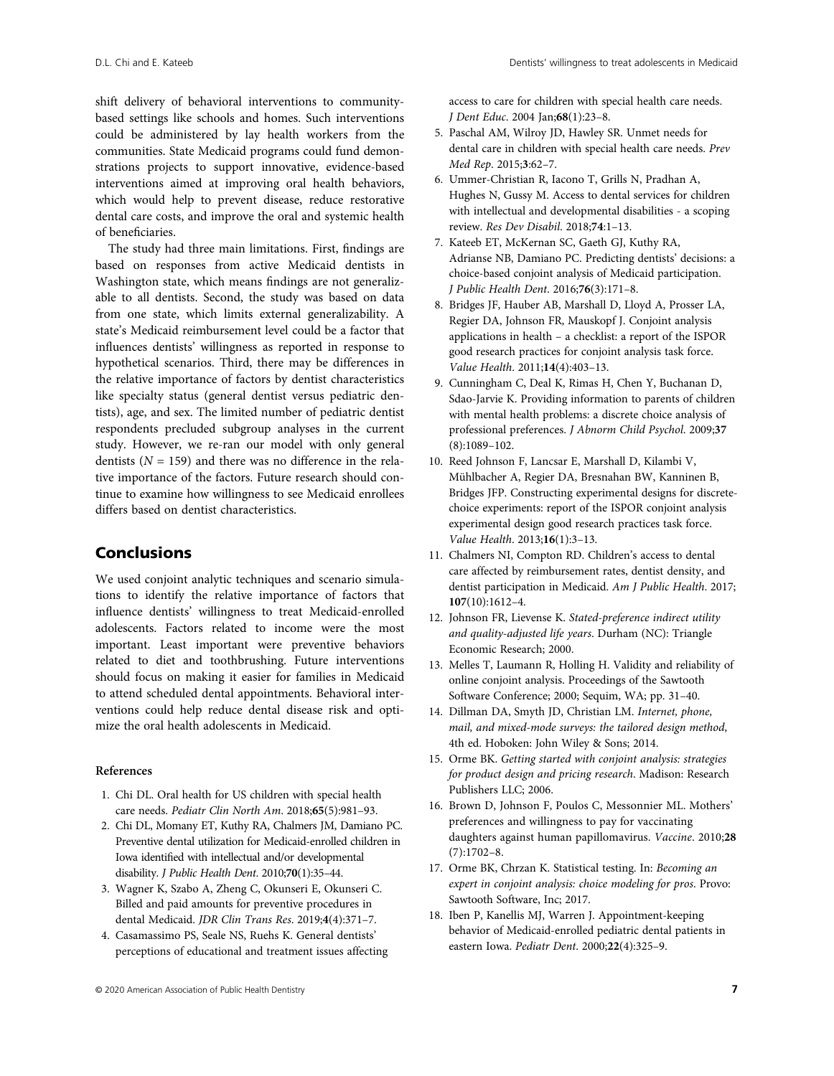shift delivery of behavioral interventions to communitybased settings like schools and homes. Such interventions could be administered by lay health workers from the communities. State Medicaid programs could fund demonstrations projects to support innovative, evidence-based interventions aimed at improving oral health behaviors, which would help to prevent disease, reduce restorative dental care costs, and improve the oral and systemic health of beneficiaries.

The study had three main limitations. First, findings are based on responses from active Medicaid dentists in Washington state, which means findings are not generalizable to all dentists. Second, the study was based on data from one state, which limits external generalizability. A state's Medicaid reimbursement level could be a factor that influences dentists' willingness as reported in response to hypothetical scenarios. Third, there may be differences in the relative importance of factors by dentist characteristics like specialty status (general dentist versus pediatric dentists), age, and sex. The limited number of pediatric dentist respondents precluded subgroup analyses in the current study. However, we re-ran our model with only general dentists ( $N = 159$ ) and there was no difference in the relative importance of the factors. Future research should continue to examine how willingness to see Medicaid enrollees differs based on dentist characteristics.

# Conclusions

We used conjoint analytic techniques and scenario simulations to identify the relative importance of factors that influence dentists' willingness to treat Medicaid-enrolled adolescents. Factors related to income were the most important. Least important were preventive behaviors related to diet and toothbrushing. Future interventions should focus on making it easier for families in Medicaid to attend scheduled dental appointments. Behavioral interventions could help reduce dental disease risk and optimize the oral health adolescents in Medicaid.

# References

- 1. Chi DL. Oral health for US children with special health care needs. Pediatr Clin North Am. 2018;65(5):981–93.
- 2. Chi DL, Momany ET, Kuthy RA, Chalmers JM, Damiano PC. Preventive dental utilization for Medicaid-enrolled children in Iowa identified with intellectual and/or developmental disability. J Public Health Dent. 2010;70(1):35–44.
- 3. Wagner K, Szabo A, Zheng C, Okunseri E, Okunseri C. Billed and paid amounts for preventive procedures in dental Medicaid. JDR Clin Trans Res. 2019;4(4):371–7.
- 4. Casamassimo PS, Seale NS, Ruehs K. General dentists' perceptions of educational and treatment issues affecting

access to care for children with special health care needs. J Dent Educ. 2004 Jan;68(1):23–8.

- 5. Paschal AM, Wilroy JD, Hawley SR. Unmet needs for dental care in children with special health care needs. Prev Med Rep. 2015;3:62–7.
- 6. Ummer-Christian R, Iacono T, Grills N, Pradhan A, Hughes N, Gussy M. Access to dental services for children with intellectual and developmental disabilities - a scoping review. Res Dev Disabil. 2018;74:1–13.
- 7. Kateeb ET, McKernan SC, Gaeth GJ, Kuthy RA, Adrianse NB, Damiano PC. Predicting dentists' decisions: a choice-based conjoint analysis of Medicaid participation. J Public Health Dent. 2016;76(3):171–8.
- 8. Bridges JF, Hauber AB, Marshall D, Lloyd A, Prosser LA, Regier DA, Johnson FR, Mauskopf J. Conjoint analysis applications in health – a checklist: a report of the ISPOR good research practices for conjoint analysis task force. Value Health. 2011;14(4):403–13.
- 9. Cunningham C, Deal K, Rimas H, Chen Y, Buchanan D, Sdao-Jarvie K. Providing information to parents of children with mental health problems: a discrete choice analysis of professional preferences. J Abnorm Child Psychol. 2009;37 (8):1089–102.
- 10. Reed Johnson F, Lancsar E, Marshall D, Kilambi V, Mühlbacher A, Regier DA, Bresnahan BW, Kanninen B, Bridges JFP. Constructing experimental designs for discretechoice experiments: report of the ISPOR conjoint analysis experimental design good research practices task force. Value Health. 2013;16(1):3–13.
- 11. Chalmers NI, Compton RD. Children's access to dental care affected by reimbursement rates, dentist density, and dentist participation in Medicaid. Am J Public Health. 2017; 107(10):1612–4.
- 12. Johnson FR, Lievense K. Stated-preference indirect utility and quality-adjusted life years. Durham (NC): Triangle Economic Research; 2000.
- 13. Melles T, Laumann R, Holling H. Validity and reliability of online conjoint analysis. Proceedings of the Sawtooth Software Conference; 2000; Sequim, WA; pp. 31–40.
- 14. Dillman DA, Smyth JD, Christian LM. Internet, phone, mail, and mixed-mode surveys: the tailored design method, 4th ed. Hoboken: John Wiley & Sons; 2014.
- 15. Orme BK. Getting started with conjoint analysis: strategies for product design and pricing research. Madison: Research Publishers LLC; 2006.
- 16. Brown D, Johnson F, Poulos C, Messonnier ML. Mothers' preferences and willingness to pay for vaccinating daughters against human papillomavirus. Vaccine. 2010;28 (7):1702–8.
- 17. Orme BK, Chrzan K. Statistical testing. In: Becoming an expert in conjoint analysis: choice modeling for pros. Provo: Sawtooth Software, Inc; 2017.
- 18. Iben P, Kanellis MJ, Warren J. Appointment-keeping behavior of Medicaid-enrolled pediatric dental patients in eastern Iowa. Pediatr Dent. 2000;22(4):325–9.